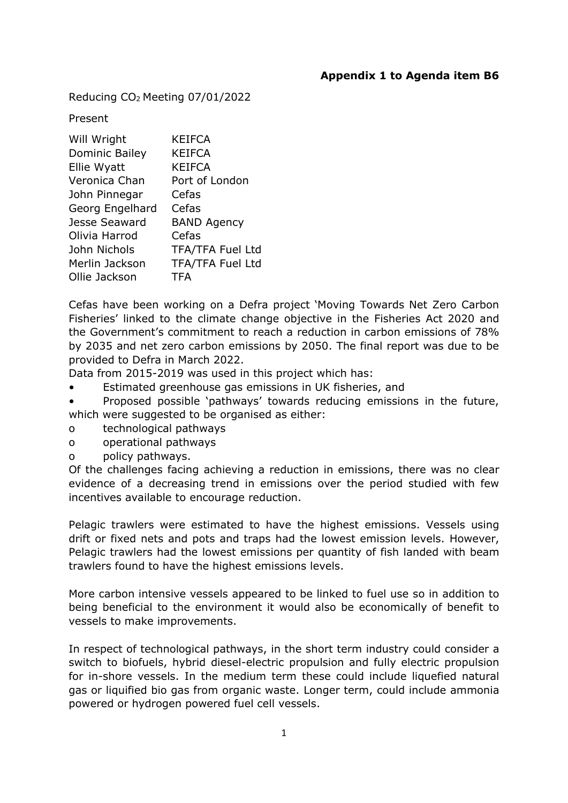## **Appendix 1 to Agenda item B6**

Reducing CO2 Meeting 07/01/2022

Present

| Will Wright           | KEIFCA                  |
|-----------------------|-------------------------|
| <b>Dominic Bailey</b> | <b>KEIFCA</b>           |
| Ellie Wyatt           | <b>KEIFCA</b>           |
| Veronica Chan         | Port of London          |
| John Pinnegar         | Cefas                   |
| Georg Engelhard       | Cefas                   |
| Jesse Seaward         | <b>BAND Agency</b>      |
| Olivia Harrod         | Cefas                   |
| John Nichols          | <b>TFA/TFA Fuel Ltd</b> |
| Merlin Jackson        | <b>TFA/TFA Fuel Ltd</b> |
| Ollie Jackson         | TFA                     |

Cefas have been working on a Defra project 'Moving Towards Net Zero Carbon Fisheries' linked to the climate change objective in the Fisheries Act 2020 and the Government's commitment to reach a reduction in carbon emissions of 78% by 2035 and net zero carbon emissions by 2050. The final report was due to be provided to Defra in March 2022.

Data from 2015-2019 was used in this project which has:

- Estimated greenhouse gas emissions in UK fisheries, and
- Proposed possible 'pathways' towards reducing emissions in the future, which were suggested to be organised as either:
- o technological pathways
- o operational pathways
- o policy pathways.

Of the challenges facing achieving a reduction in emissions, there was no clear evidence of a decreasing trend in emissions over the period studied with few incentives available to encourage reduction.

Pelagic trawlers were estimated to have the highest emissions. Vessels using drift or fixed nets and pots and traps had the lowest emission levels. However, Pelagic trawlers had the lowest emissions per quantity of fish landed with beam trawlers found to have the highest emissions levels.

More carbon intensive vessels appeared to be linked to fuel use so in addition to being beneficial to the environment it would also be economically of benefit to vessels to make improvements.

In respect of technological pathways, in the short term industry could consider a switch to biofuels, hybrid diesel-electric propulsion and fully electric propulsion for in-shore vessels. In the medium term these could include liquefied natural gas or liquified bio gas from organic waste. Longer term, could include ammonia powered or hydrogen powered fuel cell vessels.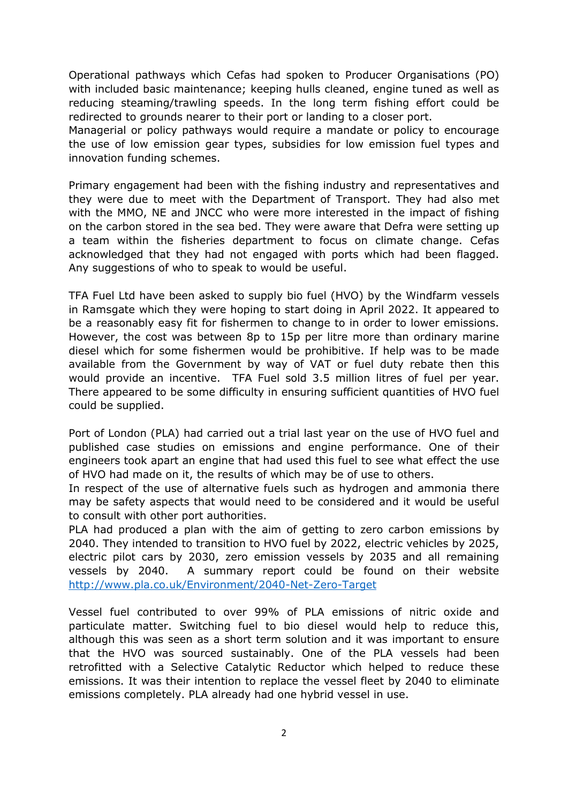Operational pathways which Cefas had spoken to Producer Organisations (PO) with included basic maintenance; keeping hulls cleaned, engine tuned as well as reducing steaming/trawling speeds. In the long term fishing effort could be redirected to grounds nearer to their port or landing to a closer port.

Managerial or policy pathways would require a mandate or policy to encourage the use of low emission gear types, subsidies for low emission fuel types and innovation funding schemes.

Primary engagement had been with the fishing industry and representatives and they were due to meet with the Department of Transport. They had also met with the MMO, NE and JNCC who were more interested in the impact of fishing on the carbon stored in the sea bed. They were aware that Defra were setting up a team within the fisheries department to focus on climate change. Cefas acknowledged that they had not engaged with ports which had been flagged. Any suggestions of who to speak to would be useful.

TFA Fuel Ltd have been asked to supply bio fuel (HVO) by the Windfarm vessels in Ramsgate which they were hoping to start doing in April 2022. It appeared to be a reasonably easy fit for fishermen to change to in order to lower emissions. However, the cost was between 8p to 15p per litre more than ordinary marine diesel which for some fishermen would be prohibitive. If help was to be made available from the Government by way of VAT or fuel duty rebate then this would provide an incentive. TFA Fuel sold 3.5 million litres of fuel per year. There appeared to be some difficulty in ensuring sufficient quantities of HVO fuel could be supplied.

Port of London (PLA) had carried out a trial last year on the use of HVO fuel and published case studies on emissions and engine performance. One of their engineers took apart an engine that had used this fuel to see what effect the use of HVO had made on it, the results of which may be of use to others.

In respect of the use of alternative fuels such as hydrogen and ammonia there may be safety aspects that would need to be considered and it would be useful to consult with other port authorities.

PLA had produced a plan with the aim of getting to zero carbon emissions by 2040. They intended to transition to HVO fuel by 2022, electric vehicles by 2025, electric pilot cars by 2030, zero emission vessels by 2035 and all remaining vessels by 2040. A summary report could be found on their website <http://www.pla.co.uk/Environment/2040-Net-Zero-Target>

Vessel fuel contributed to over 99% of PLA emissions of nitric oxide and particulate matter. Switching fuel to bio diesel would help to reduce this, although this was seen as a short term solution and it was important to ensure that the HVO was sourced sustainably. One of the PLA vessels had been retrofitted with a Selective Catalytic Reductor which helped to reduce these emissions. It was their intention to replace the vessel fleet by 2040 to eliminate emissions completely. PLA already had one hybrid vessel in use.